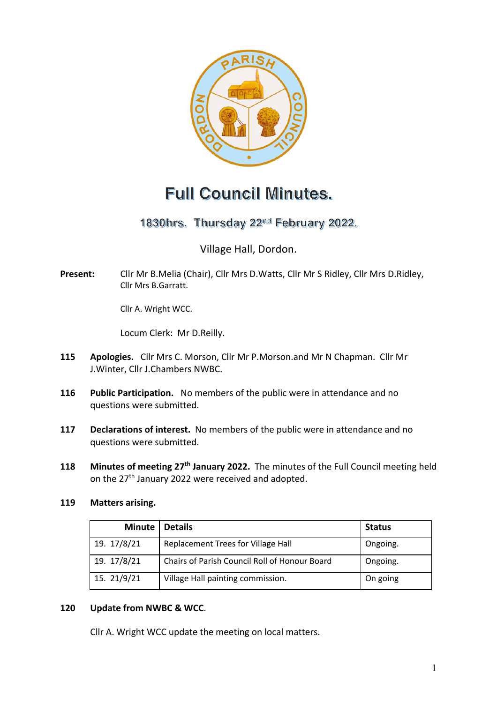

# **Full Council Minutes.**

1830hrs. Thursday 22<sup>nd</sup> February 2022.

Village Hall, Dordon.

**Present:** Cllr Mr B.Melia (Chair), Cllr Mrs D.Watts, Cllr Mr S Ridley, Cllr Mrs D.Ridley, Cllr Mrs B.Garratt.

Cllr A. Wright WCC.

Locum Clerk: Mr D.Reilly.

- **115 Apologies.** Cllr Mrs C. Morson, Cllr Mr P.Morson.and Mr N Chapman. Cllr Mr J.Winter, Cllr J.Chambers NWBC.
- **116 Public Participation.** No members of the public were in attendance and no questions were submitted.
- **117 Declarations of interest.** No members of the public were in attendance and no questions were submitted.
- **118 Minutes of meeting 27th January 2022.** The minutes of the Full Council meeting held on the 27<sup>th</sup> January 2022 were received and adopted.

#### **119 Matters arising.**

| <b>Minute</b> | <b>Details</b>                                | <b>Status</b> |
|---------------|-----------------------------------------------|---------------|
| 19. 17/8/21   | Replacement Trees for Village Hall            | Ongoing.      |
| 19. 17/8/21   | Chairs of Parish Council Roll of Honour Board | Ongoing.      |
| 15. 21/9/21   | Village Hall painting commission.             | On going      |

#### **120 Update from NWBC & WCC**.

Cllr A. Wright WCC update the meeting on local matters.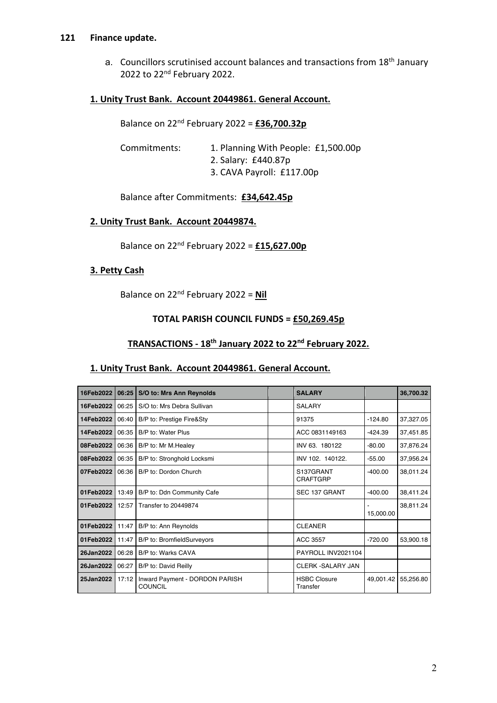#### **121 Finance update.**

a. Councillors scrutinised account balances and transactions from 18th January 2022 to 22nd February 2022.

## **1. Unity Trust Bank. Account 20449861. General Account.**

| Commitments: | 1. Planning With People: £1,500.00p |
|--------------|-------------------------------------|
|              | 2. Salary: £440.87p                 |
|              | 3. CAVA Payroll: £117.00p           |

Balance after Commitments: **£34,642.45p**

#### **2. Unity Trust Bank. Account 20449874.**

Balance on 22nd February 2022 = **£15,627.00p**

## **3. Petty Cash**

Balance on 22nd February 2022 = **Nil** 

#### **TOTAL PARISH COUNCIL FUNDS = £50,269.45p**

## **TRANSACTIONS - 18th January 2022 to 22nd February 2022.**

#### **1. Unity Trust Bank. Account 20449861. General Account.**

| 16Feb2022   | 06:25 | S/O to: Mrs Ann Reynolds                  | <b>SALARY</b>                   |           | 36,700.32 |
|-------------|-------|-------------------------------------------|---------------------------------|-----------|-----------|
| 16Feb2022   | 06:25 | S/O to: Mrs Debra Sullivan                | <b>SALARY</b>                   |           |           |
| 14Feb2022   | 06:40 | B/P to: Prestige Fire&Sty                 | 91375                           | $-124.80$ | 37,327.05 |
| 14Feb2022   | 06:35 | B/P to: Water Plus                        | ACC 0831149163                  | $-424.39$ | 37,451.85 |
| 08Feb2022   | 06:36 | B/P to: Mr M. Healey                      | INV 63. 180122                  | $-80.00$  | 37,876.24 |
| 08Feb2022 l | 06:35 | B/P to: Stronghold Locksmi                | INV 102. 140122.                | $-55.00$  | 37,956.24 |
| 07Feb2022   | 06:36 | B/P to: Dordon Church                     | S137GRANT<br>CRAFTGRP           | $-400.00$ | 38,011.24 |
| 01Feb2022   | 13:49 | B/P to: Ddn Community Cafe                | SEC 137 GRANT                   | $-400.00$ | 38,411.24 |
| 01Feb2022   | 12:57 | Transfer to 20449874                      |                                 | 15,000.00 | 38,811.24 |
| 01Feb2022   | 11:47 | B/P to: Ann Reynolds                      | <b>CLEANER</b>                  |           |           |
| 01Feb2022   | 11:47 | B/P to: BromfieldSurveyors                | ACC 3557                        | $-720.00$ | 53,900.18 |
| 26Jan2022   | 06:28 | B/P to: Warks CAVA                        | PAYROLL INV2021104              |           |           |
| 26Jan2022   | 06:27 | B/P to: David Reilly                      | <b>CLERK -SALARY JAN</b>        |           |           |
| 25Jan2022   | 17:12 | Inward Payment - DORDON PARISH<br>COUNCIL | <b>HSBC Closure</b><br>Transfer | 49,001.42 | 55,256.80 |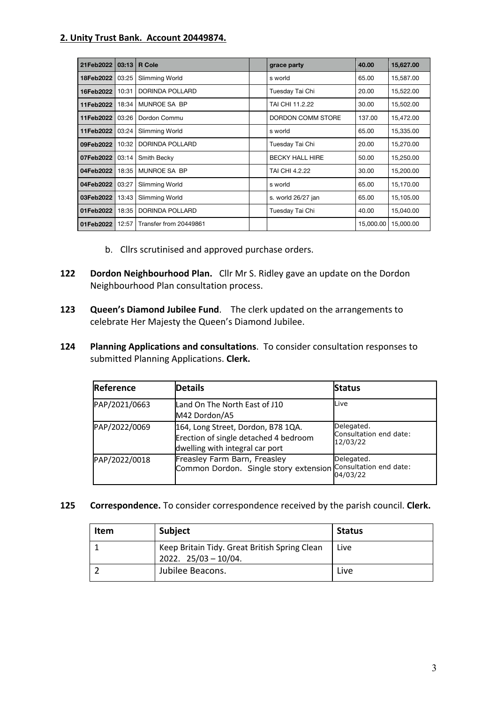## **2. Unity Trust Bank. Account 20449874.**

| 21Feb2022 | 03:13 | <b>R</b> Cole          | grace party            | 40.00     | 15,627.00 |
|-----------|-------|------------------------|------------------------|-----------|-----------|
| 18Feb2022 | 03:25 | Slimming World         | s world                | 65.00     | 15,587.00 |
| 16Feb2022 | 10:31 | DORINDA POLLARD        | Tuesday Tai Chi        | 20.00     | 15,522.00 |
| 11Feb2022 | 18:34 | MUNROE SA BP           | TAI CHI 11.2.22        | 30.00     | 15,502.00 |
| 11Feb2022 | 03:26 | Dordon Commu           | DORDON COMM STORE      | 137.00    | 15,472.00 |
| 11Feb2022 | 03:24 | Slimming World         | s world                | 65.00     | 15,335.00 |
| 09Feb2022 | 10:32 | DORINDA POLLARD        | Tuesday Tai Chi        | 20.00     | 15,270.00 |
| 07Feb2022 | 03:14 | Smith Becky            | <b>BECKY HALL HIRE</b> | 50.00     | 15,250.00 |
| 04Feb2022 | 18:35 | MUNROE SA BP           | TAI CHI 4.2.22         | 30.00     | 15,200.00 |
| 04Feb2022 | 03:27 | Slimming World         | s world                | 65.00     | 15,170.00 |
| 03Feb2022 | 13:43 | Slimming World         | s. world 26/27 jan     | 65.00     | 15,105.00 |
| 01Feb2022 | 18:35 | DORINDA POLLARD        | Tuesday Tai Chi        | 40.00     | 15,040.00 |
| 01Feb2022 | 12:57 | Transfer from 20449861 |                        | 15,000.00 | 15,000.00 |

- b. Cllrs scrutinised and approved purchase orders.
- **122 Dordon Neighbourhood Plan.** Cllr Mr S. Ridley gave an update on the Dordon Neighbourhood Plan consultation process.
- **123 Queen's Diamond Jubilee Fund**. The clerk updated on the arrangements to celebrate Her Majesty the Queen's Diamond Jubilee.
- **124 Planning Applications and consultations**. To consider consultation responses to submitted Planning Applications. **Clerk.**

| Reference     | <b>Details</b>                                                                                                 | <b>Status</b>                                    |
|---------------|----------------------------------------------------------------------------------------------------------------|--------------------------------------------------|
| PAP/2021/0663 | Land On The North East of J10<br>M42 Dordon/A5                                                                 | Live                                             |
| PAP/2022/0069 | 164, Long Street, Dordon, B78 1QA.<br>Erection of single detached 4 bedroom<br>dwelling with integral car port | Delegated.<br>Consultation end date:<br>12/03/22 |
| PAP/2022/0018 | Freasley Farm Barn, Freasley<br>Common Dordon. Single story extension                                          | Delegated.<br>Consultation end date:<br>04/03/22 |

**125 Correspondence.** To consider correspondence received by the parish council. **Clerk.**

| <b>Item</b> | <b>Subject</b>                                                            | <b>Status</b> |
|-------------|---------------------------------------------------------------------------|---------------|
|             | Keep Britain Tidy. Great British Spring Clean<br>$2022.$ $25/03 - 10/04.$ | Live          |
|             | Jubilee Beacons.                                                          | Live          |